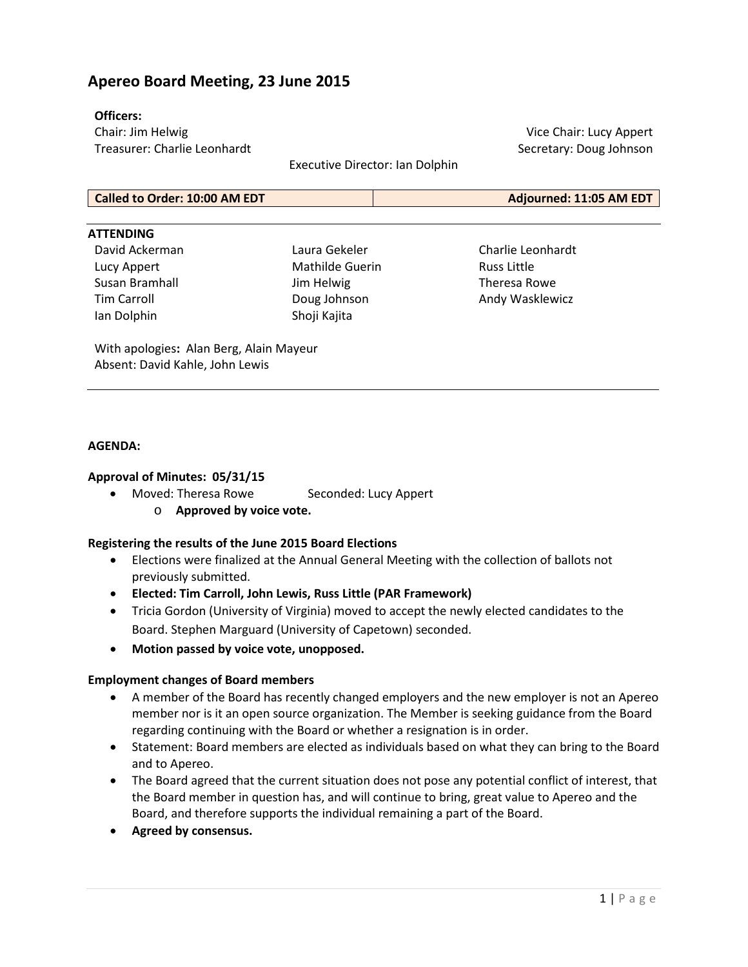## **Apereo Board Meeting, 23 June 2015**

#### **Officers:**

Chair: Jim Helwig Treasurer: Charlie Leonhardt

Executive Director: Ian Dolphin

Vice Chair: Lucy Appert Secretary: Doug Johnson

| Called to Order: 10:00 AM EDT | Adjourned: 11:05 AM EDT |
|-------------------------------|-------------------------|

#### **ATTENDING**

David Ackerman Lucy Appert Susan Bramhall Tim Carroll Ian Dolphin

Laura Gekeler Mathilde Guerin Jim Helwig Doug Johnson Shoji Kajita

Charlie Leonhardt Russ Little Theresa Rowe Andy Wasklewicz

With apologies**:** Alan Berg, Alain Mayeur Absent: David Kahle, John Lewis

#### **AGENDA:**

#### **Approval of Minutes: 05/31/15**

- Moved: Theresa Rowe Seconded: Lucy Appert
	- o **Approved by voice vote.**

#### **Registering the results of the June 2015 Board Elections**

- Elections were finalized at the Annual General Meeting with the collection of ballots not previously submitted.
- **Elected: Tim Carroll, John Lewis, Russ Little (PAR Framework)**
- Tricia Gordon (University of Virginia) moved to accept the newly elected candidates to the Board. Stephen Marguard (University of Capetown) seconded.
- **Motion passed by voice vote, unopposed.**

#### **Employment changes of Board members**

- A member of the Board has recently changed employers and the new employer is not an Apereo member nor is it an open source organization. The Member is seeking guidance from the Board regarding continuing with the Board or whether a resignation is in order.
- Statement: Board members are elected as individuals based on what they can bring to the Board and to Apereo.
- The Board agreed that the current situation does not pose any potential conflict of interest, that the Board member in question has, and will continue to bring, great value to Apereo and the Board, and therefore supports the individual remaining a part of the Board.
- **Agreed by consensus.**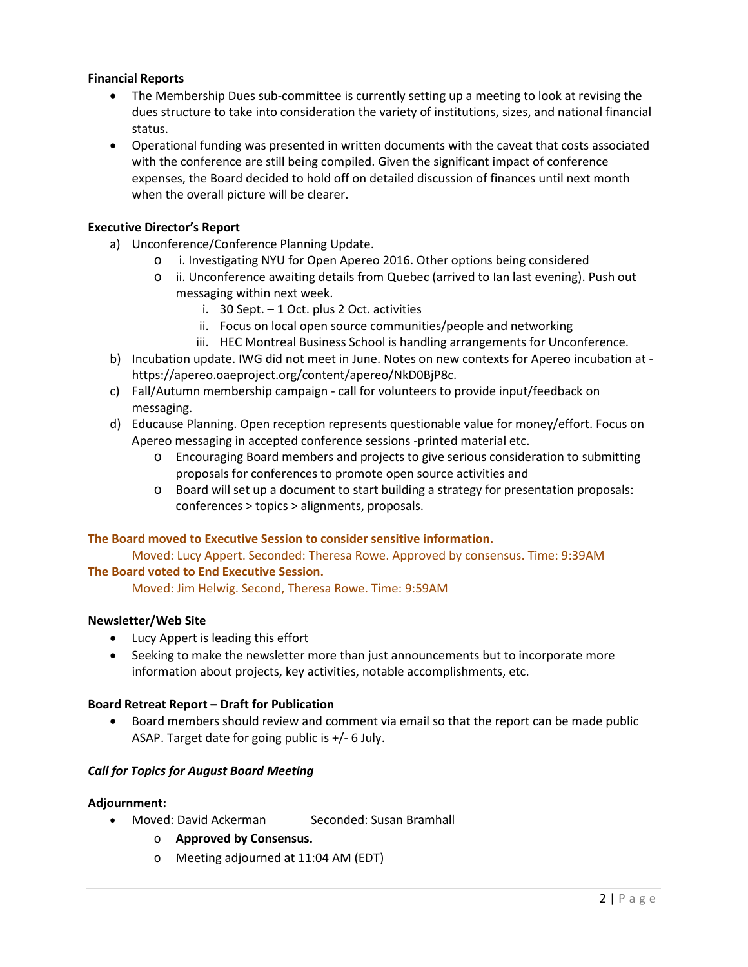### **Financial Reports**

- The Membership Dues sub-committee is currently setting up a meeting to look at revising the dues structure to take into consideration the variety of institutions, sizes, and national financial status.
- Operational funding was presented in written documents with the caveat that costs associated with the conference are still being compiled. Given the significant impact of conference expenses, the Board decided to hold off on detailed discussion of finances until next month when the overall picture will be clearer.

#### **Executive Director's Report**

- a) Unconference/Conference Planning Update.
	- o i. Investigating NYU for Open Apereo 2016. Other options being considered
	- o ii. Unconference awaiting details from Quebec (arrived to Ian last evening). Push out messaging within next week.
		- i. 30 Sept. 1 Oct. plus 2 Oct. activities
		- ii. Focus on local open source communities/people and networking
		- iii. HEC Montreal Business School is handling arrangements for Unconference.
- b) Incubation update. IWG did not meet in June. Notes on new contexts for Apereo incubation at https://apereo.oaeproject.org/content/apereo/NkD0BjP8c.
- c) Fall/Autumn membership campaign call for volunteers to provide input/feedback on messaging.
- d) Educause Planning. Open reception represents questionable value for money/effort. Focus on Apereo messaging in accepted conference sessions -printed material etc.
	- o Encouraging Board members and projects to give serious consideration to submitting proposals for conferences to promote open source activities and
	- o Board will set up a document to start building a strategy for presentation proposals: conferences > topics > alignments, proposals.

#### **The Board moved to Executive Session to consider sensitive information.**

Moved: Lucy Appert. Seconded: Theresa Rowe. Approved by consensus. Time: 9:39AM

#### **The Board voted to End Executive Session.**

Moved: Jim Helwig. Second, Theresa Rowe. Time: 9:59AM

#### **Newsletter/Web Site**

- Lucy Appert is leading this effort
- Seeking to make the newsletter more than just announcements but to incorporate more information about projects, key activities, notable accomplishments, etc.

#### **Board Retreat Report – Draft for Publication**

• Board members should review and comment via email so that the report can be made public ASAP. Target date for going public is +/- 6 July.

#### *Call for Topics for August Board Meeting*

#### **Adjournment:**

- Moved: David Ackerman Seconded: Susan Bramhall
	- o **Approved by Consensus.**
	- o Meeting adjourned at 11:04 AM (EDT)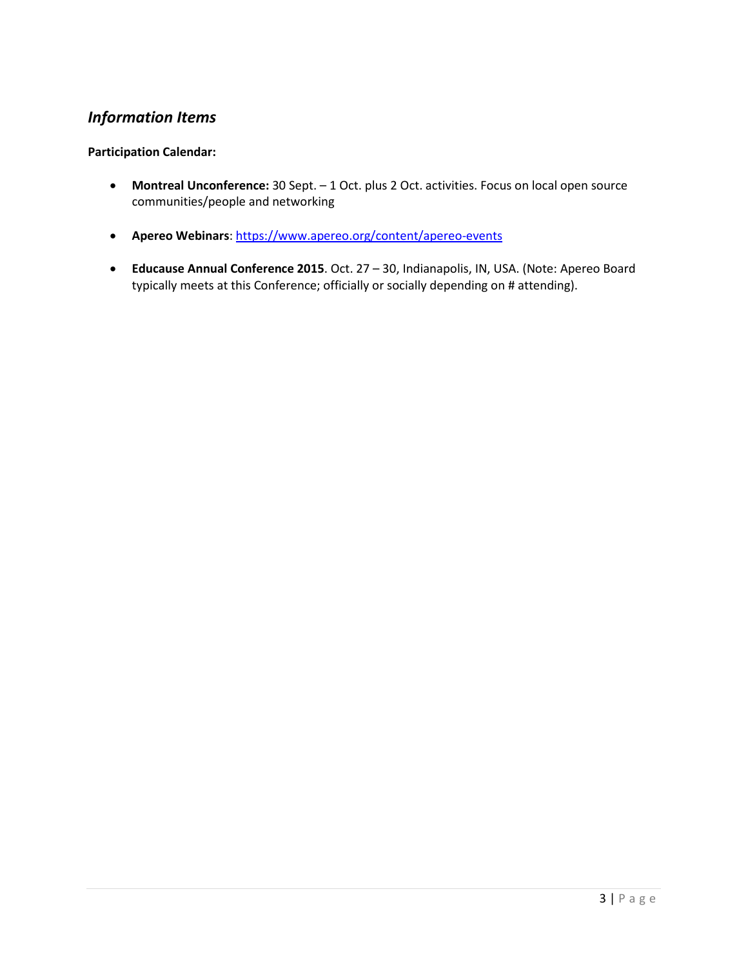# *Information Items*

#### **Participation Calendar:**

- **Montreal Unconference:** 30 Sept. 1 Oct. plus 2 Oct. activities. Focus on local open source communities/people and networking
- **Apereo Webinars**:<https://www.apereo.org/content/apereo-events>
- **Educause Annual Conference 2015**. Oct. 27 30, Indianapolis, IN, USA. (Note: Apereo Board typically meets at this Conference; officially or socially depending on # attending).